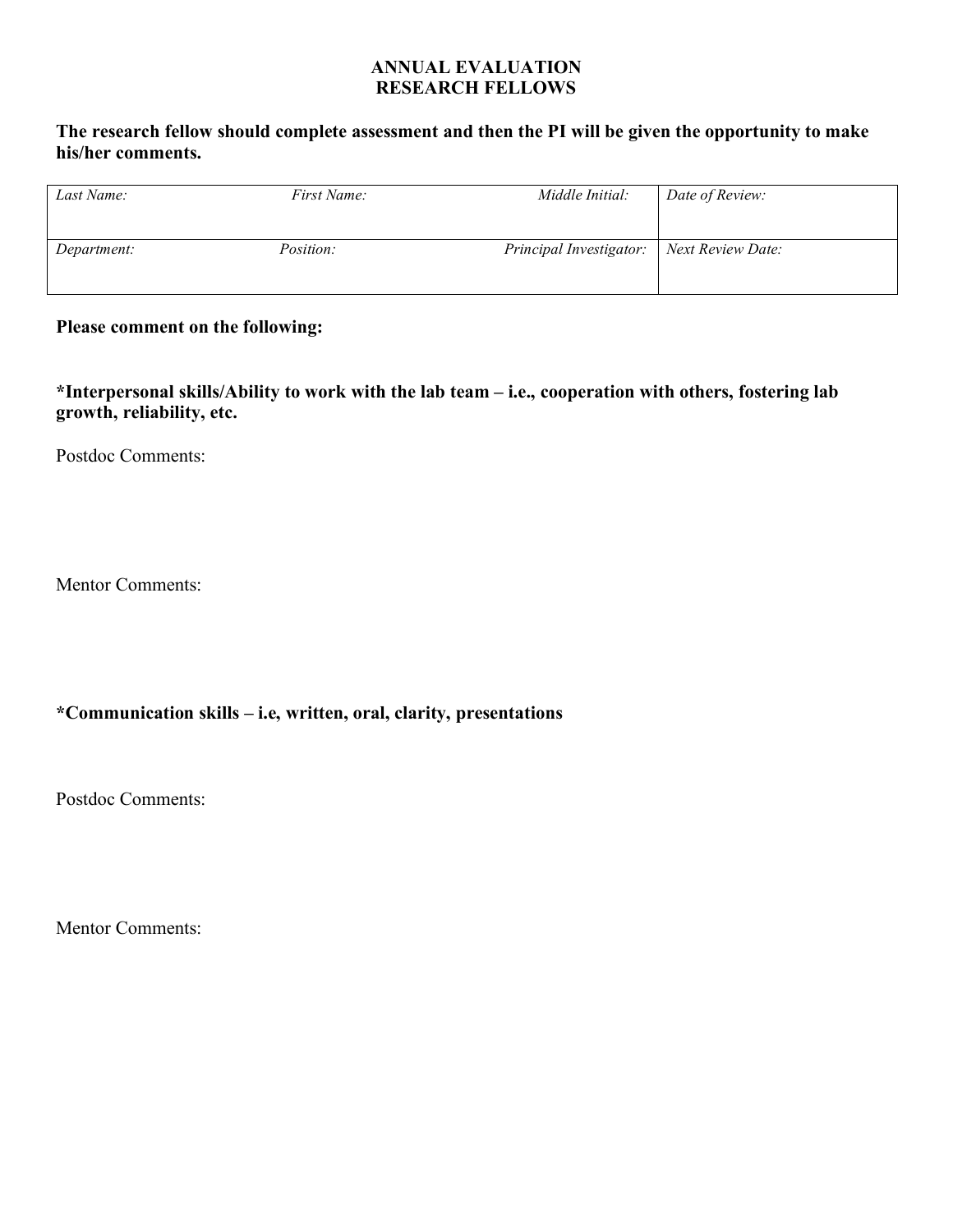## **ANNUAL EVALUATION RESEARCH FELLOWS**

## **The research fellow should complete assessment and then the PI will be given the opportunity to make his/her comments.**

| Last Name:  | <i>First Name:</i> | Middle Initial:         | Date of Review:   |
|-------------|--------------------|-------------------------|-------------------|
| Department: | <i>Position:</i>   | Principal Investigator: | Next Review Date: |

## **Please comment on the following:**

**\*Interpersonal skills/Ability to work with the lab team – i.e., cooperation with others, fostering lab growth, reliability, etc.** 

Postdoc Comments:

Mentor Comments:

# **\*Communication skills – i.e, written, oral, clarity, presentations**

Postdoc Comments:

Mentor Comments: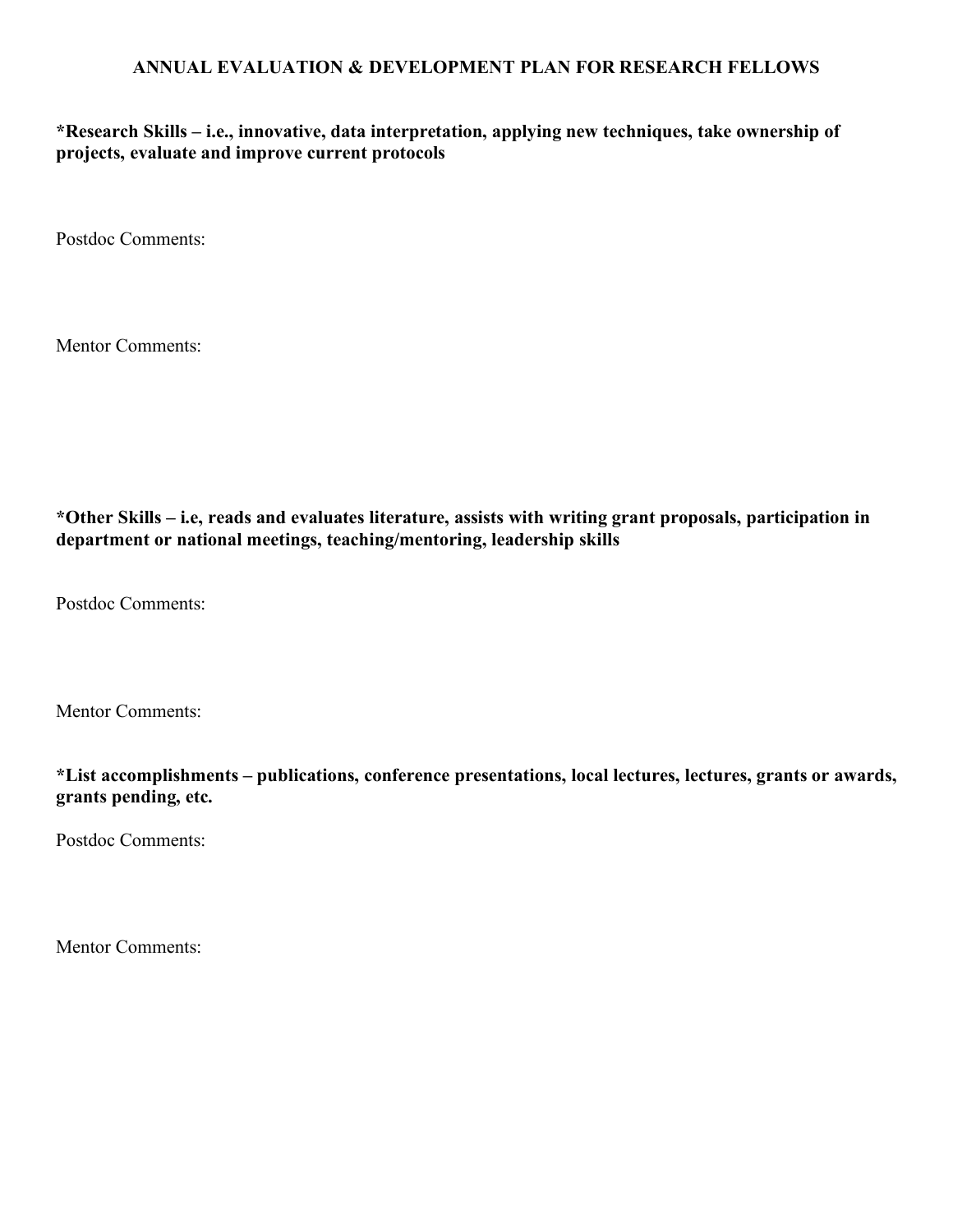## **ANNUAL EVALUATION & DEVELOPMENT PLAN FOR RESEARCH FELLOWS**

**\*Research Skills – i.e., innovative, data interpretation, applying new techniques, take ownership of projects, evaluate and improve current protocols**

Postdoc Comments:

Mentor Comments:

**\*Other Skills – i.e, reads and evaluates literature, assists with writing grant proposals, participation in department or national meetings, teaching/mentoring, leadership skills**

Postdoc Comments:

Mentor Comments:

**\*List accomplishments – publications, conference presentations, local lectures, lectures, grants or awards, grants pending, etc.**

Postdoc Comments:

Mentor Comments: